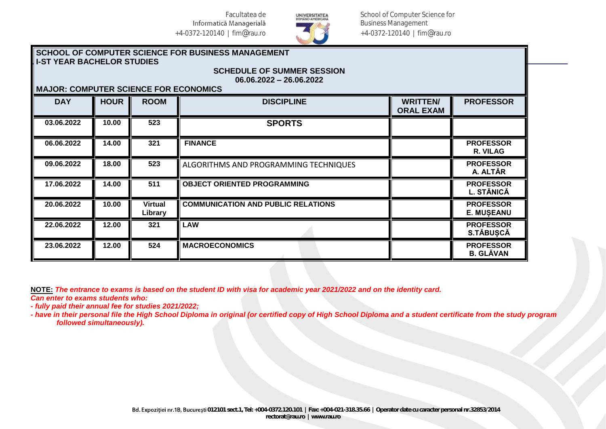

School of Computer Science for Business Management +4-0372-120140 | fim@rau.ro

## **SCHOOL OF COMPUTER SCIENCE FOR BUSINESS MANAGEMENT I-ST YEAR BACHELOR STUDIES**

## **06.06.2022 – 26.06.2022 MAJOR: COMPUTER SCIENCE FOR ECONOMICS**

| MAVOR. OOMI OTER OOIEROE I OR EOOROMIOO |             |                           |                                           |                                     |                                       |  |  |
|-----------------------------------------|-------------|---------------------------|-------------------------------------------|-------------------------------------|---------------------------------------|--|--|
| <b>DAY</b>                              | <b>HOUR</b> | <b>ROOM</b>               | <b>DISCIPLINE</b>                         | <b>WRITTEN/</b><br><b>ORAL EXAM</b> | <b>PROFESSOR</b>                      |  |  |
| 03.06.2022                              | 10.00       | 523                       | <b>SPORTS</b>                             |                                     |                                       |  |  |
| 06.06.2022                              | 14.00       | 321                       | <b>FINANCE</b>                            |                                     | <b>PROFESSOR</b><br>R. VILAG          |  |  |
| 09.06.2022                              | 18.00       | 523                       | ALGORITHMS AND PROGRAMMING TECHNIQUES     |                                     | <b>PROFESSOR</b><br>A. ALTĂR          |  |  |
| 17.06.2022                              | 14.00       | 511                       | <b>OBJECT ORIENTED PROGRAMMING</b>        |                                     | <b>PROFESSOR</b><br>L. STĂNICĂ        |  |  |
| 20.06.2022                              | 10.00       | <b>Virtual</b><br>Library | <b>COMMUNICATION AND PUBLIC RELATIONS</b> |                                     | <b>PROFESSOR</b><br><b>E. MUSEANU</b> |  |  |
| 22.06.2022                              | 12.00       | 321                       | <b>LAW</b>                                |                                     | <b>PROFESSOR</b><br>S.TĂBUSCĂ         |  |  |
| 23.06.2022                              | 12.00       | 524                       | <b>MACROECONOMICS</b>                     |                                     | <b>PROFESSOR</b><br><b>B. GLĂVAN</b>  |  |  |

**SCHEDULE OF SUMMER SESSION**

**NOTE:** *The entrance to exams is based on the student ID with visa for academic year 2021/2022 and on the identity card. Can enter to exams students who:*

*- fully paid their annual fee for studies 2021/2022;*

*- have in their personal file the High School Diploma in original (or certified copy of High School Diploma and a student certificate from the study program followed simultaneously).*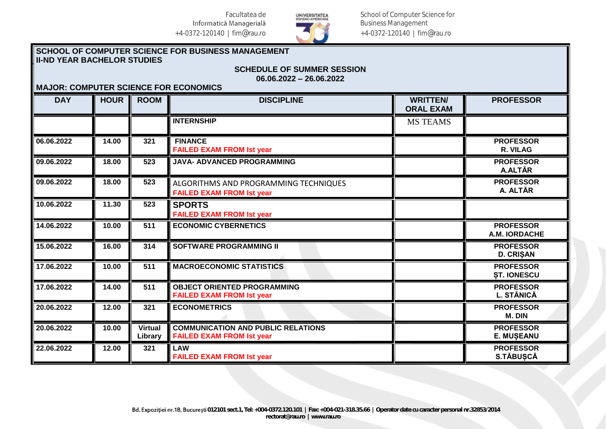

School of Computer Science for Business Management +4-0372-120140 | fim@rau.ro

## **SCHOOL OF COMPUTER SCIENCE FOR BUSINESS MANAGEMENT II-ND YEAR BACHELOR STUDIES SCHEDULE OF SUMMER SESSION 06.06.2022 – 26.06.2022 MAJOR: COMPUTER SCIENCE FOR ECONOMICS**

| <b>DAY</b> | <b>HOUR</b> | <b>ROOM</b>               | <b>DISCIPLINE</b>                                                             | <b>WRITTEN/</b><br><b>ORAL EXAM</b> | <b>PROFESSOR</b>                       |
|------------|-------------|---------------------------|-------------------------------------------------------------------------------|-------------------------------------|----------------------------------------|
|            |             |                           | <b>INTERNSHIP</b>                                                             | <b>MS TEAMS</b>                     |                                        |
| 06.06.2022 | 14.00       | 321                       | <b>FINANCE</b><br><b>FAILED EXAM FROM Ist year</b>                            |                                     | <b>PROFESSOR</b><br>R. VILAG           |
| 09.06.2022 | 18.00       | 523                       | JAVA- ADVANCED PROGRAMMING                                                    |                                     | <b>PROFESSOR</b><br>A.ALTĂR            |
| 09.06.2022 | 18.00       | 523                       | ALGORITHMS AND PROGRAMMING TECHNIQUES<br><b>FAILED EXAM FROM Ist year</b>     |                                     | <b>PROFESSOR</b><br>A. ALTĂR           |
| 10.06.2022 | 11.30       | 523                       | <b>SPORTS</b><br><b>FAILED EXAM FROM Ist year</b>                             |                                     |                                        |
| 14.06.2022 | 10.00       | 511                       | <b>ECONOMIC CYBERNETICS</b>                                                   |                                     | <b>PROFESSOR</b><br>A.M. IORDACHE      |
| 15.06.2022 | 16.00       | 314                       | <b>SOFTWARE PROGRAMMING II</b>                                                |                                     | <b>PROFESSOR</b><br><b>D. CRIŞAN</b>   |
| 17.06.2022 | 10.00       | 511                       | <b>MACROECONOMIC STATISTICS</b>                                               |                                     | <b>PROFESSOR</b><br><b>ȘT. IONESCU</b> |
| 17.06.2022 | 14.00       | 511                       | <b>OBJECT ORIENTED PROGRAMMING</b><br><b>FAILED EXAM FROM Ist year</b>        |                                     | <b>PROFESSOR</b><br>L. STĂNICĂ         |
| 20.06.2022 | 12.00       | 321                       | <b>ECONOMETRICS</b>                                                           |                                     | <b>PROFESSOR</b><br>M. DIN             |
| 20.06.2022 | 10.00       | <b>Virtual</b><br>Library | <b>COMMUNICATION AND PUBLIC RELATIONS</b><br><b>FAILED EXAM FROM Ist year</b> |                                     | <b>PROFESSOR</b><br><b>E. MUŞEANU</b>  |
| 22.06.2022 | 12.00       | 321                       | <b>LAW</b><br><b>FAILED EXAM FROM Ist year</b>                                |                                     | <b>PROFESSOR</b><br>S.TĂBUȘCĂ          |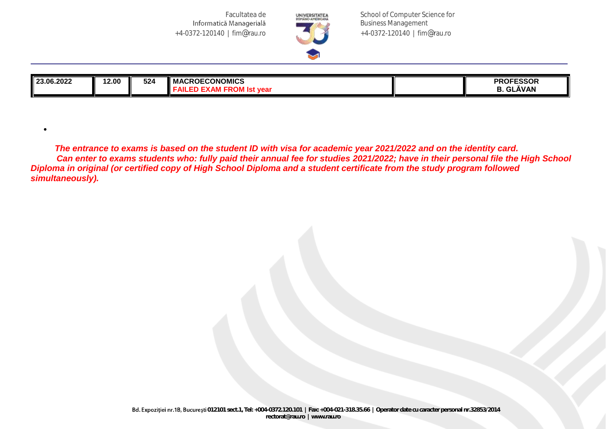•



School of Computer Science for Business Management +4-0372-120140 | fim@rau.ro

| 23.06.2022 | 2.00 | 524 | <b>ECONOMICS</b><br>. MAL<br>$\cdots$<br>$\overline{\phantom{a}}$<br>vca | <b>PROFESSOR</b><br>ĂVAN<br>$\sim$ |
|------------|------|-----|--------------------------------------------------------------------------|------------------------------------|
|            |      |     |                                                                          |                                    |

 *The entrance to exams is based on the student ID with visa for academic year 2021/2022 and on the identity card. Can enter to exams students who: fully paid their annual fee for studies 2021/2022; have in their personal file the High School Diploma in original (or certified copy of High School Diploma and a student certificate from the study program followed simultaneously).*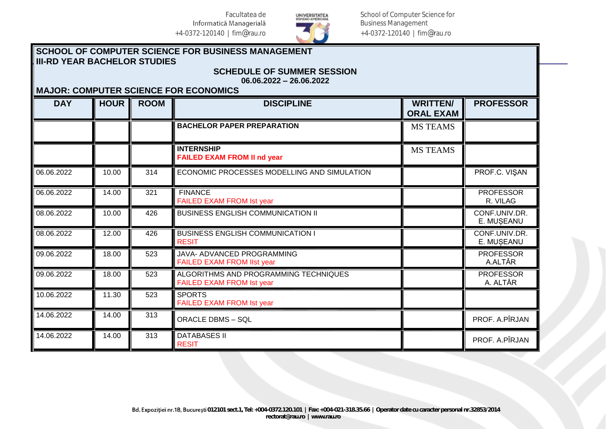

School of Computer Science for Business Management +4-0372-120140 | fim@rau.ro

## **SCHOOL OF COMPUTER SCIENCE FOR BUSINESS MANAGEMENT III-RD YEAR BACHELOR STUDIES SCHEDULE OF SUMMER SESSION**

| $06.06.2022 - 26.06.2022$<br><b>MAJOR: COMPUTER SCIENCE FOR ECONOMICS</b> |             |             |                                                                           |                                                         |                              |  |
|---------------------------------------------------------------------------|-------------|-------------|---------------------------------------------------------------------------|---------------------------------------------------------|------------------------------|--|
| <b>DAY</b>                                                                | <b>HOUR</b> | <b>ROOM</b> | <b>DISCIPLINE</b>                                                         | <b>WRITTEN/</b><br><b>PROFESSOR</b><br><b>ORAL EXAM</b> |                              |  |
|                                                                           |             |             | <b>BACHELOR PAPER PREPARATION</b>                                         | <b>MS TEAMS</b>                                         |                              |  |
|                                                                           |             |             | <b>INTERNSHIP</b><br><b>FAILED EXAM FROM II nd year</b>                   | <b>MS TEAMS</b>                                         |                              |  |
| 06.06.2022                                                                | 10.00       | 314         | ECONOMIC PROCESSES MODELLING AND SIMULATION                               |                                                         | PROF.C. VIŞAN                |  |
| 06.06.2022                                                                | 14.00       | 321         | <b>FINANCE</b><br>FAILED EXAM FROM Ist year                               |                                                         | <b>PROFESSOR</b><br>R. VILAG |  |
| 08.06.2022                                                                | 10.00       | 426         | <b>BUSINESS ENGLISH COMMUNICATION II</b>                                  |                                                         | CONF.UNIV.DR.<br>E. MUSEANU  |  |
| 08.06.2022                                                                | 12.00       | 426         | <b>BUSINESS ENGLISH COMMUNICATION I</b><br><b>RESIT</b>                   |                                                         | CONF.UNIV.DR.<br>E. MUSEANU  |  |
| 09.06.2022                                                                | 18.00       | 523         | JAVA- ADVANCED PROGRAMMING<br><b>FAILED EXAM FROM IIst year</b>           |                                                         | <b>PROFESSOR</b><br>A.ALTĂR  |  |
| 09.06.2022                                                                | 18.00       | 523         | ALGORITHMS AND PROGRAMMING TECHNIQUES<br><b>FAILED EXAM FROM Ist year</b> |                                                         | <b>PROFESSOR</b><br>A. ALTĂR |  |
| 10.06.2022                                                                | 11.30       | 523         | <b>SPORTS</b><br><b>FAILED EXAM FROM Ist year</b>                         |                                                         |                              |  |
| 14.06.2022                                                                | 14.00       | 313         | <b>ORACLE DBMS - SQL</b>                                                  |                                                         | PROF. A.PÎRJAN               |  |
| 14.06.2022                                                                | 14.00       | 313         | <b>DATABASES II</b><br><b>RESIT</b>                                       |                                                         | PROF. A.PÎRJAN               |  |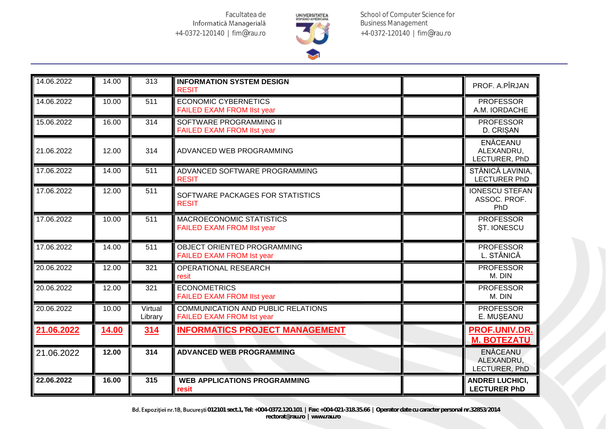

School of Computer Science for Business Management +4-0372-120140 | fim@rau.ro

| 14.06.2022 | 14.00        | 313                | <b>INFORMATION SYSTEM DESIGN</b><br><b>RESIT</b>                              | PROF. A.PÎRJAN                                 |
|------------|--------------|--------------------|-------------------------------------------------------------------------------|------------------------------------------------|
| 14.06.2022 | 10.00        | 511                | <b>ECONOMIC CYBERNETICS</b><br><b>FAILED EXAM FROM IIst year</b>              | <b>PROFESSOR</b><br>A.M. IORDACHE              |
| 15.06.2022 | 16.00        | 314                | SOFTWARE PROGRAMMING II<br><b>FAILED EXAM FROM IIst year</b>                  | <b>PROFESSOR</b><br>D. CRISAN                  |
| 21.06.2022 | 12.00        | 314                | <b>ADVANCED WEB PROGRAMMING</b>                                               | ENĂCEANU<br>ALEXANDRU,<br>LECTURER, PhD        |
| 17.06.2022 | 14.00        | 511                | ADVANCED SOFTWARE PROGRAMMING<br><b>RESIT</b>                                 | STĂNICĂ LAVINIA,<br><b>LECTURER PhD</b>        |
| 17.06.2022 | 12.00        | 511                | SOFTWARE PACKAGES FOR STATISTICS<br><b>RESIT</b>                              | <b>IONESCU STEFAN</b><br>ASSOC. PROF.<br>PhD   |
| 17.06.2022 | 10.00        | 511                | MACROECONOMIC STATISTICS<br><b>FAILED EXAM FROM IIst year</b>                 | <b>PROFESSOR</b><br>ST. IONESCU                |
| 17.06.2022 | 14.00        | 511                | OBJECT ORIENTED PROGRAMMING<br><b>FAILED EXAM FROM Ist year</b>               | <b>PROFESSOR</b><br>L. STĂNICĂ                 |
| 20.06.2022 | 12.00        | 321                | <b>OPERATIONAL RESEARCH</b><br>resit                                          | <b>PROFESSOR</b><br>M. DIN                     |
| 20.06.2022 | 12.00        | 321                | <b>ECONOMETRICS</b><br><b>FAILED EXAM FROM IIst year</b>                      | <b>PROFESSOR</b><br>M. DIN                     |
| 20.06.2022 | 10.00        | Virtual<br>Library | <b>COMMUNICATION AND PUBLIC RELATIONS</b><br><b>FAILED EXAM FROM Ist year</b> | <b>PROFESSOR</b><br>E. MUSEANU                 |
| 21.06.2022 | <b>14.00</b> | 314                | <b>INFORMATICS PROJECT MANAGEMENT</b>                                         | <b>PROF.UNIV.DR.</b><br><b>M. BOTEZATU</b>     |
| 21.06.2022 | 12.00        | 314                | <b>ADVANCED WEB PROGRAMMING</b>                                               | <b>ENĂCEANU</b><br>ALEXANDRU,<br>LECTURER, PhD |
| 22.06.2022 | 16.00        | 315                | <b>WEB APPLICATIONS PROGRAMMING</b><br>resit                                  | <b>ANDREI LUCHICI,</b><br><b>LECTURER PhD</b>  |